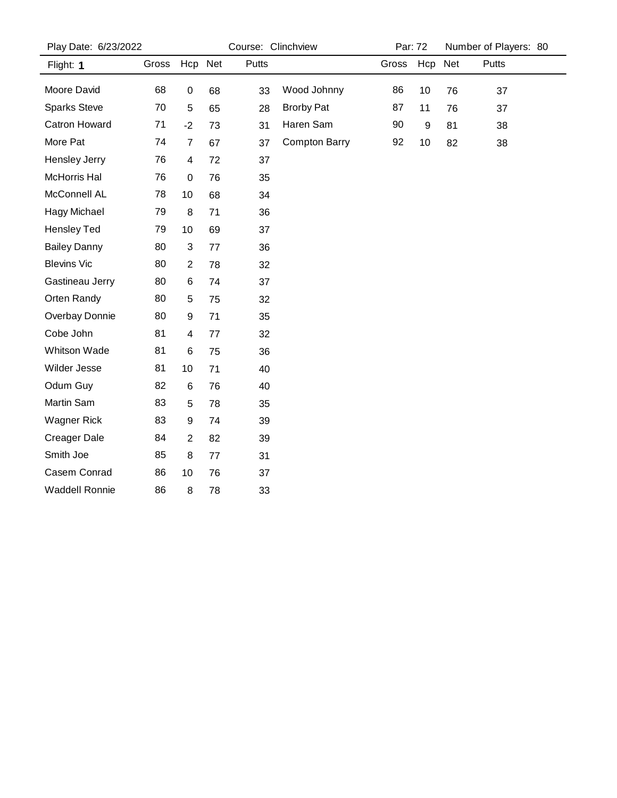| Play Date: 6/23/2022  |       |                | Course: Clinchview |       |                      |       | Par: 72          |    | Number of Players: 80 |
|-----------------------|-------|----------------|--------------------|-------|----------------------|-------|------------------|----|-----------------------|
| Flight: 1             | Gross | Hcp Net        |                    | Putts |                      | Gross | Hcp Net          |    | Putts                 |
| Moore David           | 68    | $\pmb{0}$      | 68                 | 33    | Wood Johnny          | 86    | 10               | 76 | 37                    |
| <b>Sparks Steve</b>   | 70    | 5              | 65                 | 28    | <b>Brorby Pat</b>    | 87    | 11               | 76 | 37                    |
| Catron Howard         | 71    | $-2$           | 73                 | 31    | Haren Sam            | 90    | $\boldsymbol{9}$ | 81 | 38                    |
| More Pat              | 74    | $\overline{7}$ | 67                 | 37    | <b>Compton Barry</b> | 92    | 10               | 82 | 38                    |
| Hensley Jerry         | 76    | 4              | 72                 | 37    |                      |       |                  |    |                       |
| McHorris Hal          | 76    | $\mathbf 0$    | 76                 | 35    |                      |       |                  |    |                       |
| McConnell AL          | 78    | 10             | 68                 | 34    |                      |       |                  |    |                       |
| Hagy Michael          | 79    | $\bf 8$        | 71                 | 36    |                      |       |                  |    |                       |
| <b>Hensley Ted</b>    | 79    | 10             | 69                 | 37    |                      |       |                  |    |                       |
| <b>Bailey Danny</b>   | 80    | 3              | 77                 | 36    |                      |       |                  |    |                       |
| <b>Blevins Vic</b>    | 80    | $\overline{c}$ | 78                 | 32    |                      |       |                  |    |                       |
| Gastineau Jerry       | 80    | 6              | 74                 | 37    |                      |       |                  |    |                       |
| Orten Randy           | 80    | 5              | 75                 | 32    |                      |       |                  |    |                       |
| Overbay Donnie        | 80    | 9              | 71                 | 35    |                      |       |                  |    |                       |
| Cobe John             | 81    | 4              | 77                 | 32    |                      |       |                  |    |                       |
| Whitson Wade          | 81    | 6              | 75                 | 36    |                      |       |                  |    |                       |
| Wilder Jesse          | 81    | 10             | 71                 | 40    |                      |       |                  |    |                       |
| Odum Guy              | 82    | 6              | 76                 | 40    |                      |       |                  |    |                       |
| Martin Sam            | 83    | 5              | 78                 | 35    |                      |       |                  |    |                       |
| <b>Wagner Rick</b>    | 83    | 9              | 74                 | 39    |                      |       |                  |    |                       |
| <b>Creager Dale</b>   | 84    | $\overline{c}$ | 82                 | 39    |                      |       |                  |    |                       |
| Smith Joe             | 85    | 8              | 77                 | 31    |                      |       |                  |    |                       |
| Casem Conrad          | 86    | 10             | 76                 | 37    |                      |       |                  |    |                       |
| <b>Waddell Ronnie</b> | 86    | 8              | 78                 | 33    |                      |       |                  |    |                       |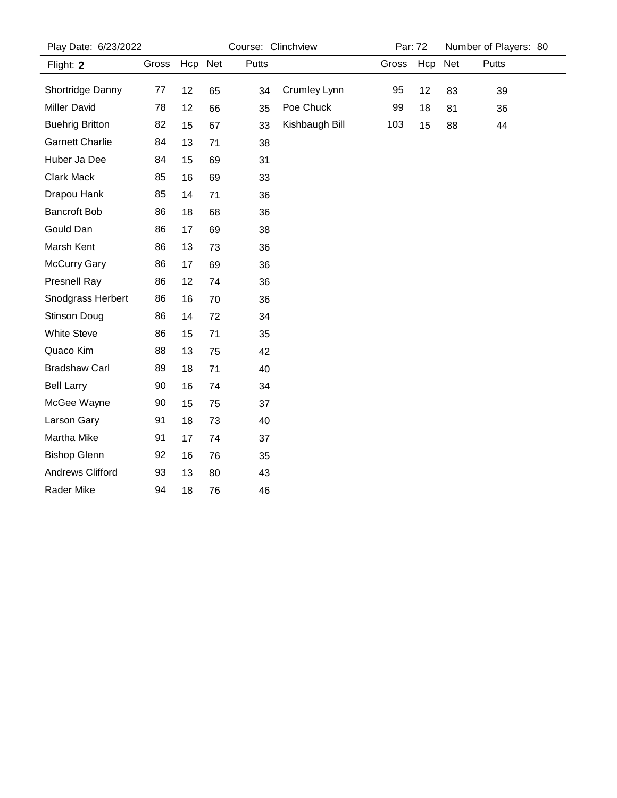| Play Date: 6/23/2022   |       |         | Course: Clinchview |       |                |       | Par: 72 |     | Number of Players: 80 |  |  |
|------------------------|-------|---------|--------------------|-------|----------------|-------|---------|-----|-----------------------|--|--|
| Flight: 2              | Gross | Hcp Net |                    | Putts |                | Gross | Hcp     | Net | Putts                 |  |  |
| Shortridge Danny       | 77    | 12      | 65                 | 34    | Crumley Lynn   | 95    | 12      | 83  | 39                    |  |  |
| <b>Miller David</b>    | 78    | 12      | 66                 | 35    | Poe Chuck      | 99    | 18      | 81  | 36                    |  |  |
| <b>Buehrig Britton</b> | 82    | 15      | 67                 | 33    | Kishbaugh Bill | 103   | 15      | 88  | 44                    |  |  |
| <b>Garnett Charlie</b> | 84    | 13      | 71                 | 38    |                |       |         |     |                       |  |  |
| Huber Ja Dee           | 84    | 15      | 69                 | 31    |                |       |         |     |                       |  |  |
| Clark Mack             | 85    | 16      | 69                 | 33    |                |       |         |     |                       |  |  |
| Drapou Hank            | 85    | 14      | 71                 | 36    |                |       |         |     |                       |  |  |
| <b>Bancroft Bob</b>    | 86    | 18      | 68                 | 36    |                |       |         |     |                       |  |  |
| Gould Dan              | 86    | 17      | 69                 | 38    |                |       |         |     |                       |  |  |
| Marsh Kent             | 86    | 13      | 73                 | 36    |                |       |         |     |                       |  |  |
| <b>McCurry Gary</b>    | 86    | 17      | 69                 | 36    |                |       |         |     |                       |  |  |
| <b>Presnell Ray</b>    | 86    | 12      | 74                 | 36    |                |       |         |     |                       |  |  |
| Snodgrass Herbert      | 86    | 16      | 70                 | 36    |                |       |         |     |                       |  |  |
| Stinson Doug           | 86    | 14      | 72                 | 34    |                |       |         |     |                       |  |  |
| White Steve            | 86    | 15      | 71                 | 35    |                |       |         |     |                       |  |  |
| Quaco Kim              | 88    | 13      | 75                 | 42    |                |       |         |     |                       |  |  |
| <b>Bradshaw Carl</b>   | 89    | 18      | 71                 | 40    |                |       |         |     |                       |  |  |
| <b>Bell Larry</b>      | 90    | 16      | 74                 | 34    |                |       |         |     |                       |  |  |
| McGee Wayne            | 90    | 15      | 75                 | 37    |                |       |         |     |                       |  |  |
| Larson Gary            | 91    | 18      | 73                 | 40    |                |       |         |     |                       |  |  |
| Martha Mike            | 91    | 17      | 74                 | 37    |                |       |         |     |                       |  |  |
| <b>Bishop Glenn</b>    | 92    | 16      | 76                 | 35    |                |       |         |     |                       |  |  |
| Andrews Clifford       | 93    | 13      | 80                 | 43    |                |       |         |     |                       |  |  |
| Rader Mike             | 94    | 18      | 76                 | 46    |                |       |         |     |                       |  |  |